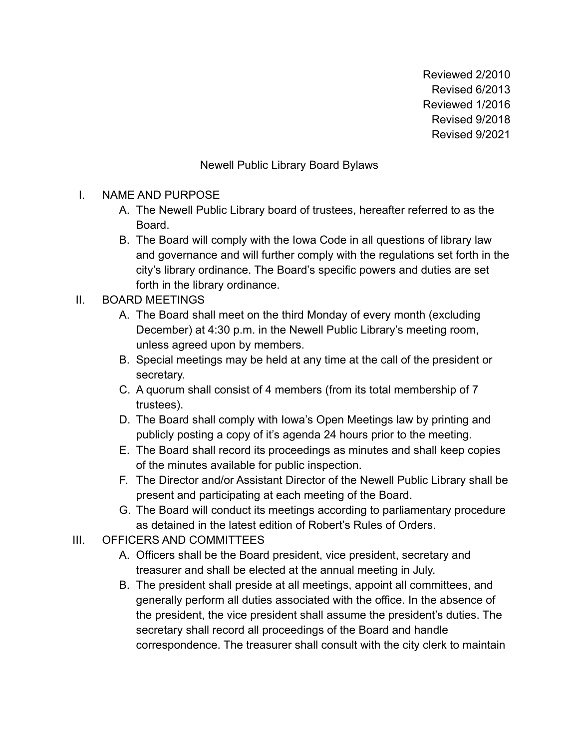Reviewed 2/2010 Revised 6/2013 Reviewed 1/2016 Revised 9/2018 Revised 9/2021

## Newell Public Library Board Bylaws

## I. NAME AND PURPOSE

- A. The Newell Public Library board of trustees, hereafter referred to as the Board.
- B. The Board will comply with the Iowa Code in all questions of library law and governance and will further comply with the regulations set forth in the city's library ordinance. The Board's specific powers and duties are set forth in the library ordinance.

## II. BOARD MEETINGS

- A. The Board shall meet on the third Monday of every month (excluding December) at 4:30 p.m. in the Newell Public Library's meeting room, unless agreed upon by members.
- B. Special meetings may be held at any time at the call of the president or secretary.
- C. A quorum shall consist of 4 members (from its total membership of 7 trustees).
- D. The Board shall comply with Iowa's Open Meetings law by printing and publicly posting a copy of it's agenda 24 hours prior to the meeting.
- E. The Board shall record its proceedings as minutes and shall keep copies of the minutes available for public inspection.
- F. The Director and/or Assistant Director of the Newell Public Library shall be present and participating at each meeting of the Board.
- G. The Board will conduct its meetings according to parliamentary procedure as detained in the latest edition of Robert's Rules of Orders.
- III. OFFICERS AND COMMITTEES
	- A. Officers shall be the Board president, vice president, secretary and treasurer and shall be elected at the annual meeting in July.
	- B. The president shall preside at all meetings, appoint all committees, and generally perform all duties associated with the office. In the absence of the president, the vice president shall assume the president's duties. The secretary shall record all proceedings of the Board and handle correspondence. The treasurer shall consult with the city clerk to maintain